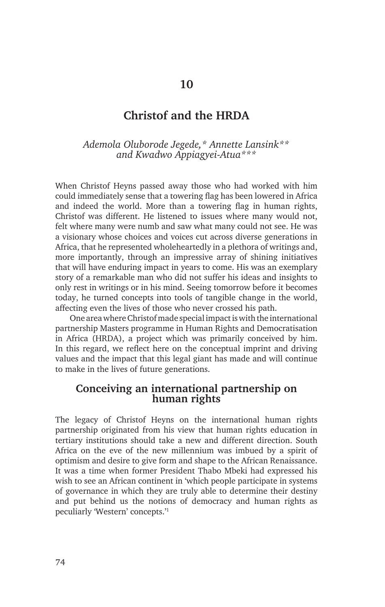## **Christof and the HRDA**

*Ademola Oluborode Jegede,\* Annette Lansink\*\* and Kwadwo Appiagyei-Atua\*\*\**

When Christof Heyns passed away those who had worked with him could immediately sense that a towering flag has been lowered in Africa and indeed the world. More than a towering flag in human rights, Christof was different. He listened to issues where many would not, felt where many were numb and saw what many could not see. He was a visionary whose choices and voices cut across diverse generations in Africa, that he represented wholeheartedly in a plethora of writings and, more importantly, through an impressive array of shining initiatives that will have enduring impact in years to come. His was an exemplary story of a remarkable man who did not suffer his ideas and insights to only rest in writings or in his mind. Seeing tomorrow before it becomes today, he turned concepts into tools of tangible change in the world, affecting even the lives of those who never crossed his path.

One area where Christof made special impact is with the international partnership Masters programme in Human Rights and Democratisation in Africa (HRDA), a project which was primarily conceived by him. In this regard, we reflect here on the conceptual imprint and driving values and the impact that this legal giant has made and will continue to make in the lives of future generations.

## **Conceiving an international partnership on human rights**

The legacy of Christof Heyns on the international human rights partnership originated from his view that human rights education in tertiary institutions should take a new and different direction. South Africa on the eve of the new millennium was imbued by a spirit of optimism and desire to give form and shape to the African Renaissance. It was a time when former President Thabo Mbeki had expressed his wish to see an African continent in 'which people participate in systems of governance in which they are truly able to determine their destiny and put behind us the notions of democracy and human rights as peculiarly 'Western' concepts.'1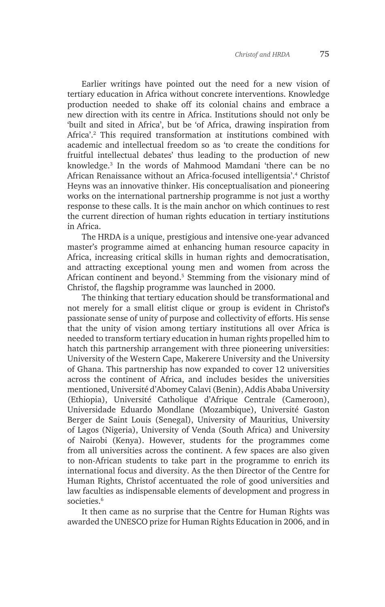Earlier writings have pointed out the need for a new vision of tertiary education in Africa without concrete interventions. Knowledge production needed to shake off its colonial chains and embrace a new direction with its centre in Africa. Institutions should not only be 'built and sited in Africa', but be 'of Africa, drawing inspiration from Africa'.<sup>2</sup> This required transformation at institutions combined with academic and intellectual freedom so as 'to create the conditions for fruitful intellectual debates' thus leading to the production of new knowledge.3 In the words of Mahmood Mamdani 'there can be no African Renaissance without an Africa-focused intelligentsia'.<sup>4</sup> Christof Heyns was an innovative thinker. His conceptualisation and pioneering works on the international partnership programme is not just a worthy response to these calls. It is the main anchor on which continues to rest the current direction of human rights education in tertiary institutions in Africa.

The HRDA is a unique, prestigious and intensive one-year advanced master's programme aimed at enhancing human resource capacity in Africa, increasing critical skills in human rights and democratisation, and attracting exceptional young men and women from across the African continent and beyond.<sup>5</sup> Stemming from the visionary mind of Christof, the flagship programme was launched in 2000.

The thinking that tertiary education should be transformational and not merely for a small elitist clique or group is evident in Christof's passionate sense of unity of purpose and collectivity of efforts. His sense that the unity of vision among tertiary institutions all over Africa is needed to transform tertiary education in human rights propelled him to hatch this partnership arrangement with three pioneering universities: University of the Western Cape, Makerere University and the University of Ghana. This partnership has now expanded to cover 12 universities across the continent of Africa, and includes besides the universities mentioned, Université d'Abomey Calavi (Benin), Addis Ababa University (Ethiopia), Université Catholique d'Afrique Centrale (Cameroon), Universidade Eduardo Mondlane (Mozambique), Université Gaston Berger de Saint Louis (Senegal), University of Mauritius, University of Lagos (Nigeria), University of Venda (South Africa) and University of Nairobi (Kenya). However, students for the programmes come from all universities across the continent. A few spaces are also given to non-African students to take part in the programme to enrich its international focus and diversity. As the then Director of the Centre for Human Rights, Christof accentuated the role of good universities and law faculties as indispensable elements of development and progress in societies.<sup>6</sup>

It then came as no surprise that the Centre for Human Rights was awarded the UNESCO prize for Human Rights Education in 2006, and in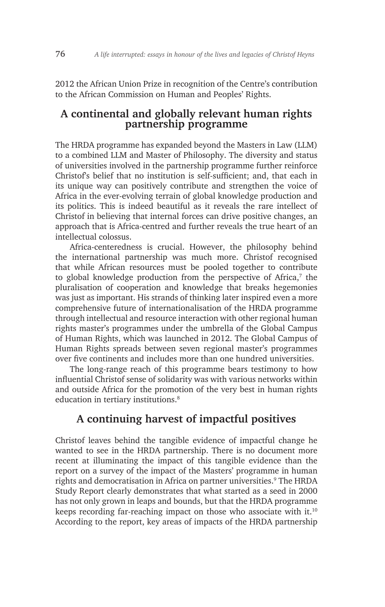2012 the African Union Prize in recognition of the Centre's contribution to the African Commission on Human and Peoples' Rights.

## **A continental and globally relevant human rights partnership programme**

The HRDA programme has expanded beyond the Masters in Law (LLM) to a combined LLM and Master of Philosophy. The diversity and status of universities involved in the partnership programme further reinforce Christof's belief that no institution is self-sufficient; and, that each in its unique way can positively contribute and strengthen the voice of Africa in the ever-evolving terrain of global knowledge production and its politics. This is indeed beautiful as it reveals the rare intellect of Christof in believing that internal forces can drive positive changes, an approach that is Africa-centred and further reveals the true heart of an intellectual colossus.

Africa-centeredness is crucial. However, the philosophy behind the international partnership was much more. Christof recognised that while African resources must be pooled together to contribute to global knowledge production from the perspective of Africa,<sup>7</sup> the pluralisation of cooperation and knowledge that breaks hegemonies was just as important. His strands of thinking later inspired even a more comprehensive future of internationalisation of the HRDA programme through intellectual and resource interaction with other regional human rights master's programmes under the umbrella of the Global Campus of Human Rights, which was launched in 2012. The Global Campus of Human Rights spreads between seven regional master's programmes over five continents and includes more than one hundred universities.

The long-range reach of this programme bears testimony to how influential Christof sense of solidarity was with various networks within and outside Africa for the promotion of the very best in human rights education in tertiary institutions.<sup>8</sup>

## **A continuing harvest of impactful positives**

Christof leaves behind the tangible evidence of impactful change he wanted to see in the HRDA partnership. There is no document more recent at illuminating the impact of this tangible evidence than the report on a survey of the impact of the Masters' programme in human rights and democratisation in Africa on partner universities.<sup>9</sup> The HRDA Study Report clearly demonstrates that what started as a seed in 2000 has not only grown in leaps and bounds, but that the HRDA programme keeps recording far-reaching impact on those who associate with it.<sup>10</sup> According to the report, key areas of impacts of the HRDA partnership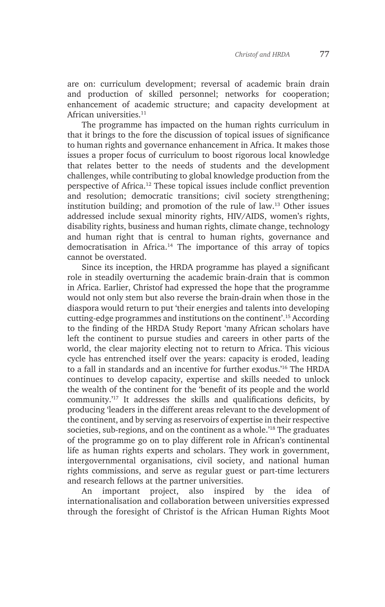are on: curriculum development; reversal of academic brain drain and production of skilled personnel; networks for cooperation; enhancement of academic structure; and capacity development at African universities.<sup>11</sup>

The programme has impacted on the human rights curriculum in that it brings to the fore the discussion of topical issues of significance to human rights and governance enhancement in Africa. It makes those issues a proper focus of curriculum to boost rigorous local knowledge that relates better to the needs of students and the development challenges, while contributing to global knowledge production from the perspective of Africa.12 These topical issues include conflict prevention and resolution; democratic transitions; civil society strengthening; institution building; and promotion of the rule of law.13 Other issues addressed include sexual minority rights, HIV/AIDS, women's rights, disability rights, business and human rights, climate change, technology and human right that is central to human rights, governance and democratisation in Africa.14 The importance of this array of topics cannot be overstated.

Since its inception, the HRDA programme has played a significant role in steadily overturning the academic brain-drain that is common in Africa. Earlier, Christof had expressed the hope that the programme would not only stem but also reverse the brain-drain when those in the diaspora would return to put 'their energies and talents into developing cutting-edge programmes and institutions on the continent'.15 According to the finding of the HRDA Study Report 'many African scholars have left the continent to pursue studies and careers in other parts of the world, the clear majority electing not to return to Africa. This vicious cycle has entrenched itself over the years: capacity is eroded, leading to a fall in standards and an incentive for further exodus.'16 The HRDA continues to develop capacity, expertise and skills needed to unlock the wealth of the continent for the 'benefit of its people and the world community.'17 It addresses the skills and qualifications deficits, by producing 'leaders in the different areas relevant to the development of the continent, and by serving as reservoirs of expertise in their respective societies, sub-regions, and on the continent as a whole.<sup>18</sup> The graduates of the programme go on to play different role in African's continental life as human rights experts and scholars. They work in government, intergovernmental organisations, civil society, and national human rights commissions, and serve as regular guest or part-time lecturers and research fellows at the partner universities.

An important project, also inspired by the idea of internationalisation and collaboration between universities expressed through the foresight of Christof is the African Human Rights Moot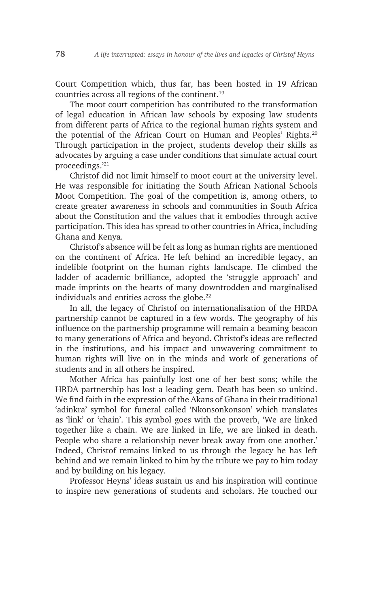Court Competition which, thus far, has been hosted in 19 African countries across all regions of the continent.19

The moot court competition has contributed to the transformation of legal education in African law schools by exposing law students from different parts of Africa to the regional human rights system and the potential of the African Court on Human and Peoples' Rights.20 Through participation in the project, students develop their skills as advocates by arguing a case under conditions that simulate actual court proceedings.'<sup>21</sup>

Christof did not limit himself to moot court at the university level. He was responsible for initiating the South African National Schools Moot Competition. The goal of the competition is, among others, to create greater awareness in schools and communities in South Africa about the Constitution and the values that it embodies through active participation. This idea has spread to other countries in Africa, including Ghana and Kenya.

Christof's absence will be felt as long as human rights are mentioned on the continent of Africa. He left behind an incredible legacy, an indelible footprint on the human rights landscape. He climbed the ladder of academic brilliance, adopted the 'struggle approach' and made imprints on the hearts of many downtrodden and marginalised individuals and entities across the globe.<sup>22</sup>

In all, the legacy of Christof on internationalisation of the HRDA partnership cannot be captured in a few words. The geography of his influence on the partnership programme will remain a beaming beacon to many generations of Africa and beyond. Christof's ideas are reflected in the institutions, and his impact and unwavering commitment to human rights will live on in the minds and work of generations of students and in all others he inspired.

Mother Africa has painfully lost one of her best sons; while the HRDA partnership has lost a leading gem. Death has been so unkind. We find faith in the expression of the Akans of Ghana in their traditional 'adinkra' symbol for funeral called 'Nkonsonkonson' which translates as 'link' or 'chain'. This symbol goes with the proverb, 'We are linked together like a chain. We are linked in life, we are linked in death. People who share a relationship never break away from one another.' Indeed, Christof remains linked to us through the legacy he has left behind and we remain linked to him by the tribute we pay to him today and by building on his legacy.

Professor Heyns' ideas sustain us and his inspiration will continue to inspire new generations of students and scholars. He touched our